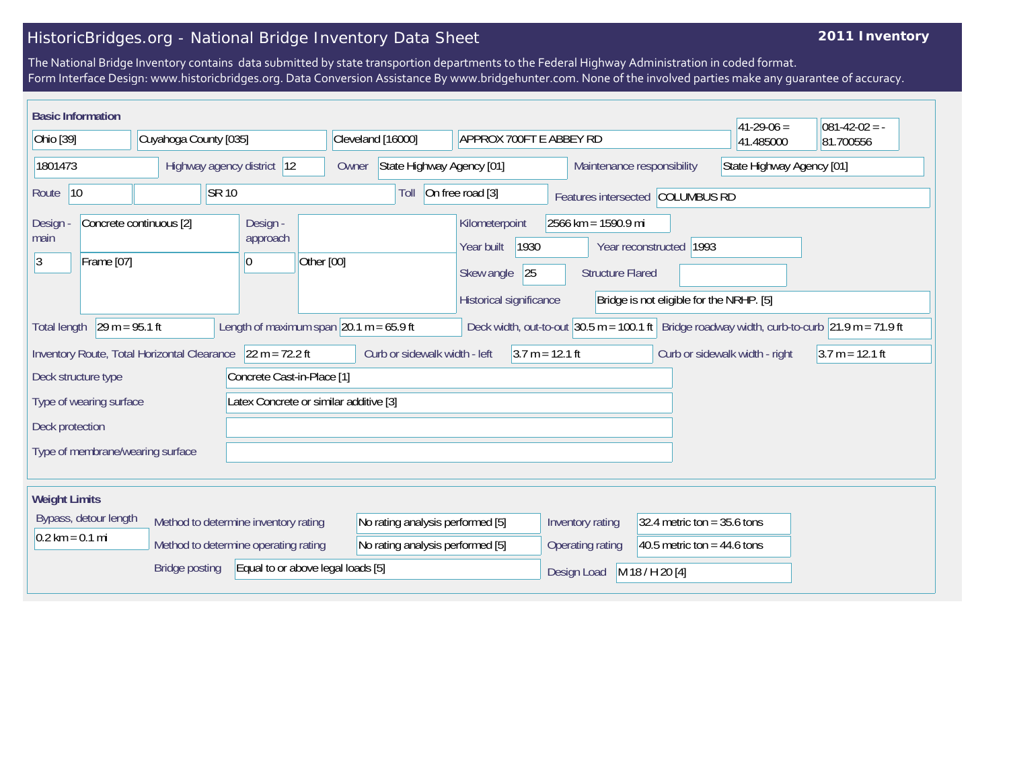## HistoricBridges.org - National Bridge Inventory Data Sheet

## **2011 Inventory**

The National Bridge Inventory contains data submitted by state transportion departments to the Federal Highway Administration in coded format. Form Interface Design: www.historicbridges.org. Data Conversion Assistance By www.bridgehunter.com. None of the involved parties make any guarantee of accuracy.

| <b>Basic Information</b>                                                                                             |                                  |  |                                  |                                                                                                                                                                                                              |                                  |                                                    |                                                 |                                |                                                   |                                |                   |                           |                                  | $41 - 29 - 06 =$ | $081 - 42 - 02 = -$                                                                                                                  |  |  |  |
|----------------------------------------------------------------------------------------------------------------------|----------------------------------|--|----------------------------------|--------------------------------------------------------------------------------------------------------------------------------------------------------------------------------------------------------------|----------------------------------|----------------------------------------------------|-------------------------------------------------|--------------------------------|---------------------------------------------------|--------------------------------|-------------------|---------------------------|----------------------------------|------------------|--------------------------------------------------------------------------------------------------------------------------------------|--|--|--|
| Cuyahoga County [035]<br>Ohio [39]                                                                                   |                                  |  |                                  | Cleveland [16000]                                                                                                                                                                                            |                                  |                                                    |                                                 | <b>APPROX 700FT E ABBEY RD</b> |                                                   |                                | 41.485000         | 81.700556                 |                                  |                  |                                                                                                                                      |  |  |  |
| 1801473                                                                                                              |                                  |  |                                  | Highway agency district 12                                                                                                                                                                                   |                                  | State Highway Agency [01]<br>Owner                 |                                                 |                                | Maintenance responsibility                        |                                |                   | State Highway Agency [01] |                                  |                  |                                                                                                                                      |  |  |  |
| 10<br>Route                                                                                                          |                                  |  | <b>SR 10</b>                     |                                                                                                                                                                                                              |                                  |                                                    | Toll                                            | On free road [3]               |                                                   |                                |                   |                           | Features intersected COLUMBUS RD |                  |                                                                                                                                      |  |  |  |
| Concrete continuous [2]<br>Design -<br>Design -<br>approach<br>main<br>Other [00]<br>3<br>Frame [07]<br>0            |                                  |  |                                  | 2566 km = 1590.9 mi<br>Kilometerpoint<br>1930<br>Year built<br>Year reconstructed 1993<br>25<br>Skew angle<br><b>Structure Flared</b><br>Historical significance<br>Bridge is not eligible for the NRHP. [5] |                                  |                                                    |                                                 |                                |                                                   |                                |                   |                           |                                  |                  |                                                                                                                                      |  |  |  |
| Total length                                                                                                         | $29 m = 95.1 ft$                 |  |                                  | Length of maximum span $20.1$ m = 65.9 ft                                                                                                                                                                    |                                  |                                                    |                                                 |                                |                                                   |                                |                   |                           |                                  |                  | Deck width, out-to-out $ 30.5 \text{ m} = 100.1 \text{ ft} $ Bridge roadway width, curb-to-curb $ 21.9 \text{ m} = 71.9 \text{ ft} $ |  |  |  |
| $22 m = 72.2 ft$<br>Inventory Route, Total Horizontal Clearance<br>Concrete Cast-in-Place [1]<br>Deck structure type |                                  |  |                                  |                                                                                                                                                                                                              |                                  | $3.7 m = 12.1 ft$<br>Curb or sidewalk width - left |                                                 |                                |                                                   | Curb or sidewalk width - right | $3.7 m = 12.1 ft$ |                           |                                  |                  |                                                                                                                                      |  |  |  |
|                                                                                                                      | Type of wearing surface          |  |                                  |                                                                                                                                                                                                              |                                  | Latex Concrete or similar additive [3]             |                                                 |                                |                                                   |                                |                   |                           |                                  |                  |                                                                                                                                      |  |  |  |
| Deck protection                                                                                                      |                                  |  |                                  |                                                                                                                                                                                                              |                                  |                                                    |                                                 |                                |                                                   |                                |                   |                           |                                  |                  |                                                                                                                                      |  |  |  |
|                                                                                                                      | Type of membrane/wearing surface |  |                                  |                                                                                                                                                                                                              |                                  |                                                    |                                                 |                                |                                                   |                                |                   |                           |                                  |                  |                                                                                                                                      |  |  |  |
|                                                                                                                      | <b>Weight Limits</b>             |  |                                  |                                                                                                                                                                                                              |                                  |                                                    |                                                 |                                |                                                   |                                |                   |                           |                                  |                  |                                                                                                                                      |  |  |  |
| Bypass, detour length<br>Method to determine inventory rating                                                        |                                  |  |                                  |                                                                                                                                                                                                              | No rating analysis performed [5] |                                                    |                                                 |                                | Inventory rating<br>32.4 metric ton = $35.6$ tons |                                |                   |                           |                                  |                  |                                                                                                                                      |  |  |  |
| $0.2$ km = 0.1 mi<br>Method to determine operating rating                                                            |                                  |  | No rating analysis performed [5] |                                                                                                                                                                                                              |                                  |                                                    | 40.5 metric ton = 44.6 tons<br>Operating rating |                                |                                                   |                                |                   |                           |                                  |                  |                                                                                                                                      |  |  |  |
| Equal to or above legal loads [5]<br><b>Bridge posting</b>                                                           |                                  |  |                                  |                                                                                                                                                                                                              | Design Load                      |                                                    |                                                 |                                |                                                   | M 18 / H 20 [4]                |                   |                           |                                  |                  |                                                                                                                                      |  |  |  |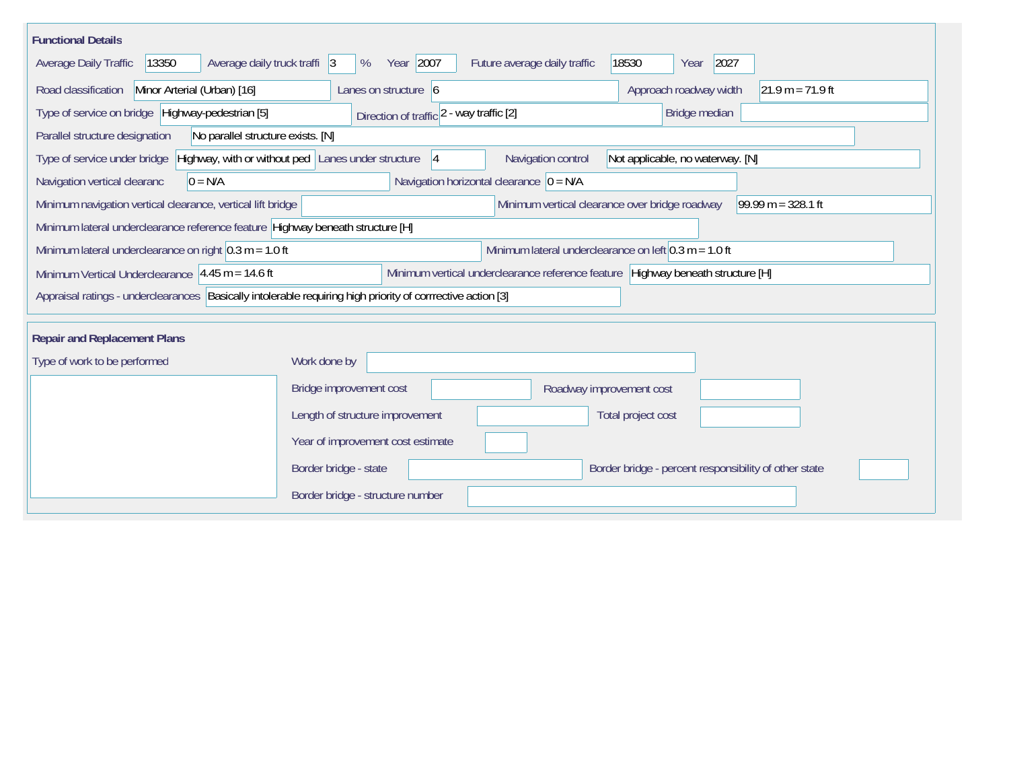| <b>Functional Details</b>                                                                                                                |                                                      |                                                         |                                                                                 |  |  |  |  |  |  |
|------------------------------------------------------------------------------------------------------------------------------------------|------------------------------------------------------|---------------------------------------------------------|---------------------------------------------------------------------------------|--|--|--|--|--|--|
| Average daily truck traffi 3<br>Average Daily Traffic<br>13350                                                                           | Year 2007<br>%                                       | Future average daily traffic                            | 18530<br>2027<br>Year                                                           |  |  |  |  |  |  |
| Minor Arterial (Urban) [16]<br>Road classification<br>Approach roadway width<br>Lanes on structure $\vert 6 \vert$<br>$21.9 m = 71.9 ft$ |                                                      |                                                         |                                                                                 |  |  |  |  |  |  |
| Type of service on bridge Highway-pedestrian [5]<br>Direction of traffic $2 - way$ traffic $[2]$<br>Bridge median                        |                                                      |                                                         |                                                                                 |  |  |  |  |  |  |
| No parallel structure exists. [N]<br>Parallel structure designation                                                                      |                                                      |                                                         |                                                                                 |  |  |  |  |  |  |
| Type of service under bridge                                                                                                             | Highway, with or without ped Lanes under structure 4 | Navigation control                                      | Not applicable, no waterway. [N]                                                |  |  |  |  |  |  |
| Navigation vertical clearanc<br>$0 = N/A$                                                                                                |                                                      | Navigation horizontal clearance $ 0 = N/A $             |                                                                                 |  |  |  |  |  |  |
| Minimum navigation vertical clearance, vertical lift bridge                                                                              |                                                      | Minimum vertical clearance over bridge roadway          | $99.99 m = 328.1 ft$                                                            |  |  |  |  |  |  |
| Minimum lateral underclearance reference feature Highway beneath structure [H]                                                           |                                                      |                                                         |                                                                                 |  |  |  |  |  |  |
| Minimum lateral underclearance on right $0.3$ m = 1.0 ft                                                                                 |                                                      | Minimum lateral underclearance on left $0.3$ m = 1.0 ft |                                                                                 |  |  |  |  |  |  |
| Minimum Vertical Underclearance $ 4.45 \text{ m} = 14.6 \text{ ft} $                                                                     |                                                      |                                                         | Minimum vertical underclearance reference feature Highway beneath structure [H] |  |  |  |  |  |  |
| Appraisal ratings - underclearances Basically intolerable requiring high priority of corrrective action [3]                              |                                                      |                                                         |                                                                                 |  |  |  |  |  |  |
| <b>Repair and Replacement Plans</b>                                                                                                      |                                                      |                                                         |                                                                                 |  |  |  |  |  |  |
| Type of work to be performed                                                                                                             | Work done by                                         |                                                         |                                                                                 |  |  |  |  |  |  |
|                                                                                                                                          | Bridge improvement cost                              | Roadway improvement cost                                |                                                                                 |  |  |  |  |  |  |
|                                                                                                                                          | Length of structure improvement                      |                                                         | Total project cost                                                              |  |  |  |  |  |  |
|                                                                                                                                          | Year of improvement cost estimate                    |                                                         |                                                                                 |  |  |  |  |  |  |
|                                                                                                                                          | Border bridge - state                                |                                                         | Border bridge - percent responsibility of other state                           |  |  |  |  |  |  |
|                                                                                                                                          | Border bridge - structure number                     |                                                         |                                                                                 |  |  |  |  |  |  |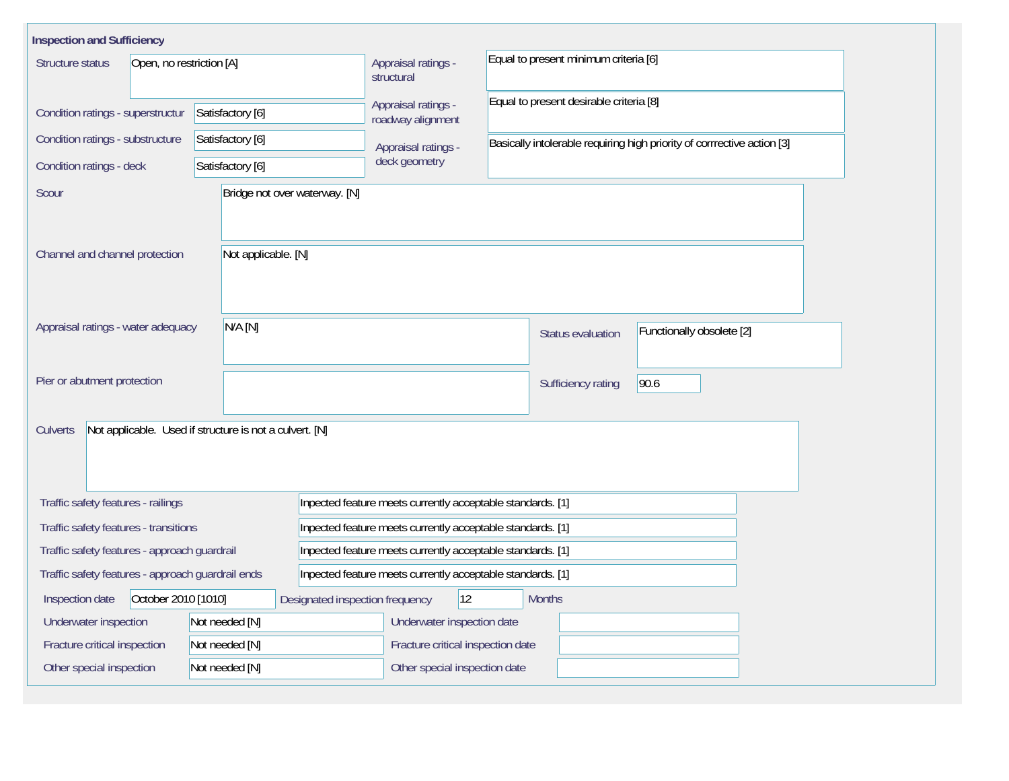| <b>Inspection and Sufficiency</b>                                                                 |                                                         |                                          |                                                                         |                           |  |  |  |  |  |
|---------------------------------------------------------------------------------------------------|---------------------------------------------------------|------------------------------------------|-------------------------------------------------------------------------|---------------------------|--|--|--|--|--|
| Structure status<br>Open, no restriction [A]                                                      |                                                         | Appraisal ratings -<br>structural        | Equal to present minimum criteria [6]                                   |                           |  |  |  |  |  |
| Condition ratings - superstructur                                                                 | Satisfactory [6]                                        | Appraisal ratings -<br>roadway alignment | Equal to present desirable criteria [8]                                 |                           |  |  |  |  |  |
| Condition ratings - substructure                                                                  | Satisfactory [6]                                        | Appraisal ratings -                      | Basically intolerable requiring high priority of corrrective action [3] |                           |  |  |  |  |  |
| Condition ratings - deck                                                                          | Satisfactory [6]                                        | deck geometry                            |                                                                         |                           |  |  |  |  |  |
| Scour                                                                                             | Bridge not over waterway. [N]                           |                                          |                                                                         |                           |  |  |  |  |  |
| Channel and channel protection                                                                    | Not applicable. [N]                                     |                                          |                                                                         |                           |  |  |  |  |  |
| Appraisal ratings - water adequacy                                                                | N/A [N]                                                 |                                          | Status evaluation                                                       | Functionally obsolete [2] |  |  |  |  |  |
| Pier or abutment protection                                                                       |                                                         |                                          | Sufficiency rating                                                      | 90.6                      |  |  |  |  |  |
| Culverts                                                                                          | Not applicable. Used if structure is not a culvert. [N] |                                          |                                                                         |                           |  |  |  |  |  |
| Traffic safety features - railings                                                                |                                                         |                                          | Inpected feature meets currently acceptable standards. [1]              |                           |  |  |  |  |  |
| Traffic safety features - transitions                                                             |                                                         |                                          | Inpected feature meets currently acceptable standards. [1]              |                           |  |  |  |  |  |
| Traffic safety features - approach guardrail                                                      |                                                         |                                          | Inpected feature meets currently acceptable standards. [1]              |                           |  |  |  |  |  |
| Traffic safety features - approach guardrail ends                                                 |                                                         |                                          | Inpected feature meets currently acceptable standards. [1]              |                           |  |  |  |  |  |
| October 2010 [1010]<br> 12<br><b>Months</b><br>Inspection date<br>Designated inspection frequency |                                                         |                                          |                                                                         |                           |  |  |  |  |  |
| Underwater inspection                                                                             | Not needed [N]                                          | Underwater inspection date               |                                                                         |                           |  |  |  |  |  |
| Fracture critical inspection                                                                      | Not needed [N]                                          | Fracture critical inspection date        |                                                                         |                           |  |  |  |  |  |
| Other special inspection                                                                          | Not needed [N]                                          | Other special inspection date            |                                                                         |                           |  |  |  |  |  |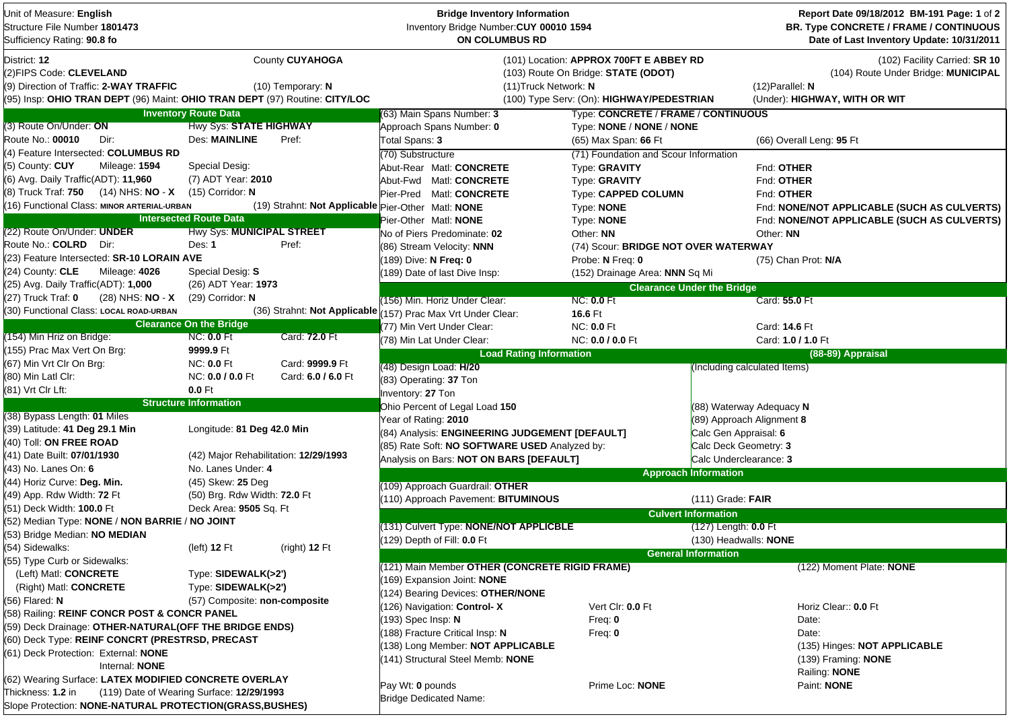| Unit of Measure: English<br>Structure File Number 1801473<br>Sufficiency Rating: 90.8 fo |                                       |                              | <b>Bridge Inventory Information</b><br>Inventory Bridge Number: CUY 00010 1594<br>ON COLUMBUS RD |                                           |                                   | Report Date 09/18/2012 BM-191 Page: 1 of 2<br>BR. Type CONCRETE / FRAME / CONTINUOUS<br>Date of Last Inventory Update: 10/31/2011 |  |  |  |
|------------------------------------------------------------------------------------------|---------------------------------------|------------------------------|--------------------------------------------------------------------------------------------------|-------------------------------------------|-----------------------------------|-----------------------------------------------------------------------------------------------------------------------------------|--|--|--|
| District: 12                                                                             |                                       | County CUYAHOGA              |                                                                                                  | (101) Location: APPROX 700FT E ABBEY RD   |                                   | (102) Facility Carried: SR 10                                                                                                     |  |  |  |
| (2) FIPS Code: CLEVELAND                                                                 |                                       | (10) Temporary: N            |                                                                                                  | (103) Route On Bridge: STATE (ODOT)       |                                   | (104) Route Under Bridge: MUNICIPAL                                                                                               |  |  |  |
| (9) Direction of Traffic: 2-WAY TRAFFIC                                                  |                                       | (11) Truck Network: N        |                                                                                                  | $(12)$ Parallel: N                        |                                   |                                                                                                                                   |  |  |  |
| (95) Insp: OHIO TRAN DEPT (96) Maint: OHIO TRAN DEPT (97) Routine: CITY/LOC              |                                       |                              |                                                                                                  | (100) Type Serv: (On): HIGHWAY/PEDESTRIAN |                                   | (Under): HIGHWAY, WITH OR WIT                                                                                                     |  |  |  |
|                                                                                          | <b>Inventory Route Data</b>           |                              | (63) Main Spans Number: 3                                                                        | Type: CONCRETE / FRAME / CONTINUOUS       |                                   |                                                                                                                                   |  |  |  |
| (3) Route On/Under: ON                                                                   | Hwy Sys: STATE HIGHWAY                |                              | Approach Spans Number: 0                                                                         | Type: NONE / NONE / NONE                  |                                   |                                                                                                                                   |  |  |  |
| Route No.: 00010<br>Dir:                                                                 | <b>Des: MAINLINE</b>                  | Pref:                        | Total Spans: 3                                                                                   | (65) Max Span: 66 Ft                      |                                   | (66) Overall Leng: 95 Ft                                                                                                          |  |  |  |
| (4) Feature Intersected: COLUMBUS RD                                                     |                                       |                              | (70) Substructure                                                                                | (71) Foundation and Scour Information     |                                   |                                                                                                                                   |  |  |  |
| (5) County: CUY<br>Mileage: 1594                                                         | Special Desig:                        |                              | Abut-Rear Matl: CONCRETE                                                                         | Type: GRAVITY                             |                                   | Fnd: OTHER                                                                                                                        |  |  |  |
| (6) Avg. Daily Traffic(ADT): 11,960                                                      | (7) ADT Year: 2010                    |                              | Abut-Fwd Matl: CONCRETE                                                                          | Type: GRAVITY                             |                                   | Fnd: OTHER                                                                                                                        |  |  |  |
| (8) Truck Traf: 750 (14) NHS: NO - X                                                     | $(15)$ Corridor: N                    |                              | Pier-Pred Matl: CONCRETE                                                                         | <b>Type: CAPPED COLUMN</b>                |                                   | Fnd: OTHER                                                                                                                        |  |  |  |
| (16) Functional Class: MINOR ARTERIAL-URBAN                                              |                                       |                              | (19) Strahnt: Not Applicable Pier-Other Matl: NONE                                               | Type: <b>NONE</b>                         |                                   | Fnd: NONE/NOT APPLICABLE (SUCH AS CULVERTS)                                                                                       |  |  |  |
|                                                                                          | <b>Intersected Route Data</b>         |                              | Pier-Other Matl: NONE                                                                            | Type: NONE                                |                                   | Fnd: NONE/NOT APPLICABLE (SUCH AS CULVERTS)                                                                                       |  |  |  |
| (22) Route On/Under: UNDER                                                               | <b>Hwy Sys: MUNICIPAL STREET</b>      |                              | No of Piers Predominate: 02                                                                      | Other: NN                                 |                                   | Other: NN                                                                                                                         |  |  |  |
| Route No.: COLRD Dir:                                                                    | Des: 1                                | Pref:                        | (86) Stream Velocity: NNN                                                                        | (74) Scour: BRIDGE NOT OVER WATERWAY      |                                   |                                                                                                                                   |  |  |  |
| (23) Feature Intersected: SR-10 LORAIN AVE                                               |                                       |                              | (189) Dive: N Freq: 0                                                                            | Probe: N Freq: 0                          |                                   | (75) Chan Prot: N/A                                                                                                               |  |  |  |
| (24) County: CLE<br>Mileage: 4026                                                        | Special Desig: S                      |                              | (189) Date of last Dive Insp:                                                                    | (152) Drainage Area: NNN Sq Mi            |                                   |                                                                                                                                   |  |  |  |
| (25) Avg. Daily Traffic(ADT): 1,000                                                      | (26) ADT Year: 1973                   |                              |                                                                                                  |                                           | <b>Clearance Under the Bridge</b> |                                                                                                                                   |  |  |  |
| (27) Truck Traf: <b>0</b><br>(28) NHS: NO - X                                            | $(29)$ Corridor: N                    |                              | (156) Min. Horiz Under Clear:                                                                    | <b>NC: 0.0 Ft</b>                         |                                   | Card: 55.0 Ft                                                                                                                     |  |  |  |
| (30) Functional Class: LOCAL ROAD-URBAN                                                  |                                       | (36) Strahnt: Not Applicable | 157) Prac Max Vrt Under Clear:                                                                   | 16.6 Ft                                   |                                   |                                                                                                                                   |  |  |  |
|                                                                                          | <b>Clearance On the Bridge</b>        |                              | (77) Min Vert Under Clear:                                                                       | <b>NC: 0.0 Ft</b>                         |                                   | Card: 14.6 Ft                                                                                                                     |  |  |  |
| (154) Min Hriz on Bridge:                                                                | <b>NC: 0.0 Ft</b>                     | Card: 72.0 Ft                | (78) Min Lat Under Clear:                                                                        | NC: 0.0 / 0.0 Ft                          |                                   | Card: 1.0 / 1.0 Ft                                                                                                                |  |  |  |
| (155) Prac Max Vert On Brg:                                                              | 9999.9 Ft                             |                              | <b>Load Rating Information</b>                                                                   |                                           |                                   | (88-89) Appraisal                                                                                                                 |  |  |  |
| (67) Min Vrt Clr On Brg:                                                                 | <b>NC: 0.0 Ft</b>                     | Card: 9999.9 Ft              | (48) Design Load: H/20                                                                           |                                           | (Including calculated Items)      |                                                                                                                                   |  |  |  |
| (80) Min Latl Clr:                                                                       | NC: 0.0 / 0.0 Ft                      | Card: 6.0 / 6.0 Ft           | (83) Operating: 37 Ton                                                                           |                                           |                                   |                                                                                                                                   |  |  |  |
| (81) Vrt Clr Lft:                                                                        | $0.0$ Ft                              |                              | Inventory: 27 Ton                                                                                |                                           |                                   |                                                                                                                                   |  |  |  |
|                                                                                          | <b>Structure Information</b>          |                              | Ohio Percent of Legal Load 150                                                                   |                                           | (88) Waterway Adequacy N          |                                                                                                                                   |  |  |  |
| (38) Bypass Length: 01 Miles                                                             |                                       |                              | Year of Rating: 2010                                                                             |                                           | (89) Approach Alignment 8         |                                                                                                                                   |  |  |  |
| (39) Latitude: 41 Deg 29.1 Min                                                           | Longitude: 81 Deg 42.0 Min            |                              | (84) Analysis: ENGINEERING JUDGEMENT [DEFAULT]<br>Calc Gen Appraisal: 6                          |                                           |                                   |                                                                                                                                   |  |  |  |
| (40) Toll: ON FREE ROAD                                                                  |                                       |                              | (85) Rate Soft: NO SOFTWARE USED Analyzed by:<br>Calc Deck Geometry: 3                           |                                           |                                   |                                                                                                                                   |  |  |  |
| (41) Date Built: 07/01/1930                                                              | (42) Major Rehabilitation: 12/29/1993 |                              | Calc Underclearance: 3<br>Analysis on Bars: NOT ON BARS [DEFAULT]                                |                                           |                                   |                                                                                                                                   |  |  |  |
| (43) No. Lanes On: 6                                                                     | No. Lanes Under: 4                    |                              |                                                                                                  |                                           | <b>Approach Information</b>       |                                                                                                                                   |  |  |  |
| (44) Horiz Curve: Deg. Min.                                                              | (45) Skew: 25 Deg                     |                              | (109) Approach Guardrail: OTHER                                                                  |                                           |                                   |                                                                                                                                   |  |  |  |
| (49) App. Rdw Width: 72 Ft                                                               | (50) Brg. Rdw Width: 72.0 Ft          |                              | (110) Approach Pavement: BITUMINOUS                                                              |                                           | $(111)$ Grade: FAIR               |                                                                                                                                   |  |  |  |
| (51) Deck Width: 100.0 Ft                                                                | Deck Area: 9505 Sq. Ft                |                              |                                                                                                  |                                           | <b>Culvert Information</b>        |                                                                                                                                   |  |  |  |
| (52) Median Type: NONE / NON BARRIE / NO JOINT                                           |                                       |                              | (131) Culvert Type: NONE/NOT APPLICBLE                                                           |                                           | (127) Length: 0.0 Ft              |                                                                                                                                   |  |  |  |
| (53) Bridge Median: NO MEDIAN                                                            |                                       |                              | (129) Depth of Fill: 0.0 Ft                                                                      |                                           | (130) Headwalls: <b>NONE</b>      |                                                                                                                                   |  |  |  |
| (54) Sidewalks:                                                                          | (left) $12$ Ft                        | (right) 12 Ft                |                                                                                                  |                                           | <b>General Information</b>        |                                                                                                                                   |  |  |  |
| (55) Type Curb or Sidewalks:                                                             |                                       |                              | (121) Main Member OTHER (CONCRETE RIGID FRAME)                                                   |                                           |                                   | (122) Moment Plate: NONE                                                                                                          |  |  |  |
| (Left) Matl: CONCRETE                                                                    | Type: SIDEWALK(>2')                   |                              | (169) Expansion Joint: NONE                                                                      |                                           |                                   |                                                                                                                                   |  |  |  |
| (Right) Matl: CONCRETE                                                                   | Type: SIDEWALK(>2')                   |                              | (124) Bearing Devices: OTHER/NONE                                                                |                                           |                                   |                                                                                                                                   |  |  |  |
| (56) Flared: <b>N</b>                                                                    | (57) Composite: non-composite         |                              | (126) Navigation: Control-X                                                                      | Vert Clr: 0.0 Ft                          |                                   | Horiz Clear:: 0.0 Ft                                                                                                              |  |  |  |
| (58) Railing: REINF CONCR POST & CONCR PANEL                                             |                                       |                              | (193) Spec Insp: N                                                                               | Freq: $0$                                 |                                   | Date:                                                                                                                             |  |  |  |
| (59) Deck Drainage: OTHER-NATURAL(OFF THE BRIDGE ENDS)                                   |                                       |                              | (188) Fracture Critical Insp: N<br>Freq: $0$                                                     |                                           |                                   | Date:                                                                                                                             |  |  |  |
| (60) Deck Type: REINF CONCRT (PRESTRSD, PRECAST                                          |                                       |                              | (138) Long Member: NOT APPLICABLE                                                                |                                           |                                   | (135) Hinges: NOT APPLICABLE                                                                                                      |  |  |  |
| (61) Deck Protection: External: NONE                                                     |                                       |                              | (141) Structural Steel Memb: NONE                                                                |                                           |                                   | (139) Framing: NONE                                                                                                               |  |  |  |
| Internal: NONE                                                                           |                                       |                              |                                                                                                  |                                           |                                   | Railing: NONE                                                                                                                     |  |  |  |
| (62) Wearing Surface: LATEX MODIFIED CONCRETE OVERLAY                                    |                                       |                              | Pay Wt: 0 pounds                                                                                 | Prime Loc: NONE                           |                                   | Paint: NONE                                                                                                                       |  |  |  |
| Thickness: 1.2 in<br>(119) Date of Wearing Surface: 12/29/1993                           |                                       |                              | Bridge Dedicated Name:                                                                           |                                           |                                   |                                                                                                                                   |  |  |  |
| Slope Protection: NONE-NATURAL PROTECTION(GRASS, BUSHES)                                 |                                       |                              |                                                                                                  |                                           |                                   |                                                                                                                                   |  |  |  |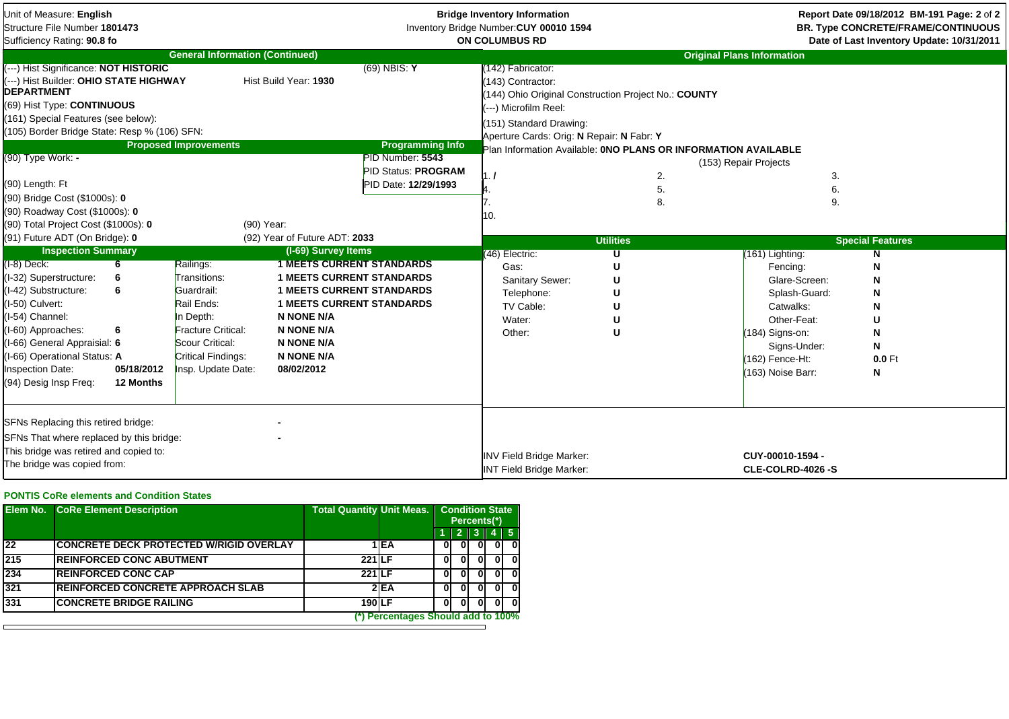| Unit of Measure: English<br>Structure File Number 1801473<br>Sufficiency Rating: 90.8 fo                                                                                                                                                                                                                                                                                    |                                                                                                                                                                                    |                                                                                                                                                                                                                                                                       |                                                                                                                     | <b>Bridge Inventory Information</b><br>Inventory Bridge Number: CUY 00010 1594<br><b>ON COLUMBUS RD</b>                                                                                              |                                 |                                                                                                                                                                      | Report Date 09/18/2012 BM-191 Page: 2 of 2<br><b>BR. Type CONCRETE/FRAME/CONTINUOUS</b><br>Date of Last Inventory Update: 10/31/2011 |  |  |  |
|-----------------------------------------------------------------------------------------------------------------------------------------------------------------------------------------------------------------------------------------------------------------------------------------------------------------------------------------------------------------------------|------------------------------------------------------------------------------------------------------------------------------------------------------------------------------------|-----------------------------------------------------------------------------------------------------------------------------------------------------------------------------------------------------------------------------------------------------------------------|---------------------------------------------------------------------------------------------------------------------|------------------------------------------------------------------------------------------------------------------------------------------------------------------------------------------------------|---------------------------------|----------------------------------------------------------------------------------------------------------------------------------------------------------------------|--------------------------------------------------------------------------------------------------------------------------------------|--|--|--|
|                                                                                                                                                                                                                                                                                                                                                                             |                                                                                                                                                                                    | <b>General Information (Continued)</b>                                                                                                                                                                                                                                |                                                                                                                     |                                                                                                                                                                                                      |                                 | <b>Original Plans Information</b>                                                                                                                                    |                                                                                                                                      |  |  |  |
| (---) Hist Significance: NOT HISTORIC<br>---) Hist Builder: OHIO STATE HIGHWAY<br><b>DEPARTMENT</b><br>(69) Hist Type: CONTINUOUS<br>(161) Special Features (see below):<br>(105) Border Bridge State: Resp % (106) SFN:<br>(90) Type Work: -<br>(90) Length: Ft<br>(90) Bridge Cost (\$1000s): 0<br>(90) Roadway Cost (\$1000s): 0<br>(90) Total Project Cost (\$1000s): 0 | <b>Proposed Improvements</b>                                                                                                                                                       | Hist Build Year: 1930<br>(90) Year:                                                                                                                                                                                                                                   | $(69)$ NBIS: Y<br><b>Programming Info</b><br>PID Number: 5543<br><b>PID Status: PROGRAM</b><br>PID Date: 12/29/1993 | 142) Fabricator:<br>(143) Contractor:<br>144) Ohio Original Construction Project No.: COUNTY<br>(---) Microfilm Reel:<br>(151) Standard Drawing:<br>Aperture Cards: Orig: N Repair: N Fabr: Y<br>10. | 2.<br>5.<br>8.                  | Plan Information Available: ONO PLANS OR INFORMATION AVAILABLE<br>(153) Repair Projects<br>3.<br>6.<br>9.                                                            |                                                                                                                                      |  |  |  |
| (91) Future ADT (On Bridge): 0                                                                                                                                                                                                                                                                                                                                              |                                                                                                                                                                                    | (92) Year of Future ADT: 2033                                                                                                                                                                                                                                         |                                                                                                                     |                                                                                                                                                                                                      | <b>Utilities</b>                |                                                                                                                                                                      | <b>Special Features</b>                                                                                                              |  |  |  |
| <b>Inspection Summary</b><br>$(I-8)$ Deck:<br>6<br>(I-32) Superstructure:<br>(I-42) Substructure:<br>6<br>I-50) Culvert:<br>I-54) Channel:<br>(I-60) Approaches:<br>6<br>I-66) General Appraisial: 6<br>I-66) Operational Status: A<br><b>Inspection Date:</b><br>(94) Desig Insp Freg:                                                                                     | Railings:<br>Transitions:<br>Guardrail:<br>Rail Ends:<br>In Depth:<br>Fracture Critical:<br>Scour Critical:<br>Critical Findings:<br>05/18/2012<br>Insp. Update Date:<br>12 Months | (I-69) Survey Items<br><b>1 MEETS CURRENT STANDARDS</b><br><b>1 MEETS CURRENT STANDARDS</b><br><b>1 MEETS CURRENT STANDARDS</b><br><b>1 MEETS CURRENT STANDARDS</b><br><b>N NONE N/A</b><br><b>N NONE N/A</b><br><b>N NONE N/A</b><br><b>N NONE N/A</b><br>08/02/2012 |                                                                                                                     | (46) Electric:<br>Gas:<br>Sanitary Sewer:<br>Telephone:<br>TV Cable:<br>Water:<br>Other:                                                                                                             | U<br>U<br>U<br>U<br>U<br>U<br>U | (161) Lighting:<br>Fencing:<br>Glare-Screen:<br>Splash-Guard:<br>Catwalks:<br>Other-Feat:<br>(184) Signs-on:<br>Signs-Under:<br>(162) Fence-Ht:<br>(163) Noise Barr: | N<br>N<br>N<br>N<br>0.0 Ft<br>N                                                                                                      |  |  |  |
| SFNs Replacing this retired bridge:<br>SFNs That where replaced by this bridge:<br>This bridge was retired and copied to:<br>The bridge was copied from:                                                                                                                                                                                                                    |                                                                                                                                                                                    |                                                                                                                                                                                                                                                                       |                                                                                                                     | <b>INV Field Bridge Marker:</b><br>INT Field Bridge Marker:                                                                                                                                          |                                 | CUY-00010-1594 -<br>CLE-COLRD-4026 -S                                                                                                                                |                                                                                                                                      |  |  |  |

## **PONTIS CoRe elements and Condition States**

|     | <b>Elem No.</b> CoRe Element Description       |               |                                    | <b>Total Quantity Unit Meas.   Condition State</b><br>Percents <sup>(*)</sup> |      |  |            |  |  |  |
|-----|------------------------------------------------|---------------|------------------------------------|-------------------------------------------------------------------------------|------|--|------------|--|--|--|
|     |                                                |               |                                    | Ш                                                                             | 2 II |  | $4 \mid 5$ |  |  |  |
| 22  | <b>CONCRETE DECK PROTECTED W/RIGID OVERLAY</b> |               | 1 IEA                              | UΙ                                                                            |      |  |            |  |  |  |
| 215 | <b>REINFORCED CONC ABUTMENT</b>                | <b>221 LF</b> |                                    | 01                                                                            |      |  | ΩI         |  |  |  |
| 234 | <b>REINFORCED CONC CAP</b>                     | <b>221 LF</b> |                                    | 01                                                                            |      |  |            |  |  |  |
| 321 | <b>IREINFORCED CONCRETE APPROACH SLAB</b>      |               | 2E                                 | 01                                                                            |      |  | n          |  |  |  |
| 331 | <b>CONCRETE BRIDGE RAILING</b>                 | 190 LF        |                                    | 01                                                                            |      |  |            |  |  |  |
|     |                                                |               | (*) Percentages Should add to 100% |                                                                               |      |  |            |  |  |  |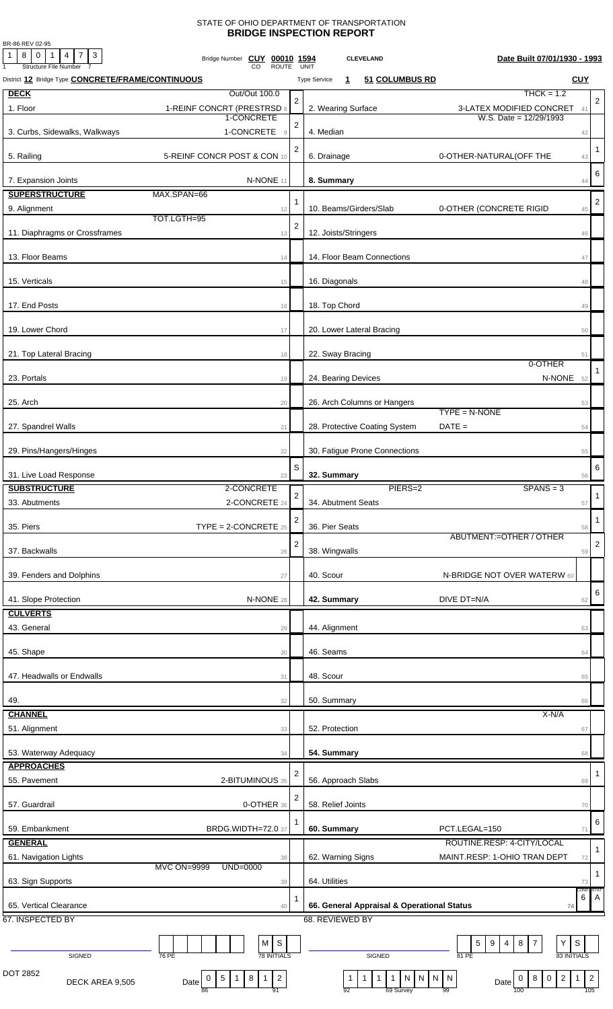## STATE OF OHIO DEPARTMENT OF TRANSPORTATION **BRIDGE INSPECTION REPORT**

BR-86 REV 02-95

| 8 0 1 4 7 3<br>1<br>Bridge Number CUY 00010 1594<br>Structure File Number<br>CO | <b>ROUTE</b>   | UNIT                |                           | <b>CLEVELAND</b> |                                |                              |                                            |                             |                | Date Built 07/01/1930 - 1993 |                               |                    |                |
|---------------------------------------------------------------------------------|----------------|---------------------|---------------------------|------------------|--------------------------------|------------------------------|--------------------------------------------|-----------------------------|----------------|------------------------------|-------------------------------|--------------------|----------------|
| District 12 Bridge Type <b>CONCRETE/FRAME/CONTINUOUS</b>                        |                | <b>Type Service</b> | $\mathbf{1}$              |                  | 51 COLUMBUS RD                 |                              |                                            |                             |                |                              |                               | <b>CUY</b>         |                |
| <b>DECK</b><br>Out/Out 100.0                                                    |                |                     |                           |                  |                                |                              |                                            |                             |                |                              | $THCK = 1.2$                  |                    |                |
| 1. Floor<br>1-REINF CONCRT (PRESTRSD 8                                          |                | $\overline{2}$      | 2. Wearing Surface        |                  |                                |                              |                                            | 3-LATEX MODIFIED CONCRET 41 |                |                              |                               |                    | $\overline{2}$ |
| 1-CONCRETE                                                                      |                | $\overline{2}$      |                           |                  |                                |                              |                                            |                             |                | W.S. Date = $12/29/1993$     |                               |                    |                |
| 1-CONCRETE<br>3. Curbs, Sidewalks, Walkways                                     | $\overline{9}$ |                     | 4. Median                 |                  |                                |                              |                                            |                             |                |                              |                               | 42                 |                |
|                                                                                 |                | 2                   |                           |                  |                                |                              |                                            |                             |                |                              |                               |                    | $\mathbf{1}$   |
| 5. Railing<br>5-REINF CONCR POST & CON 10                                       |                |                     | 6. Drainage               |                  |                                |                              | 0-OTHER-NATURAL(OFF THE                    |                             |                |                              |                               | 43                 |                |
| N-NONE 11<br>7. Expansion Joints                                                |                |                     | 8. Summary                |                  |                                |                              |                                            |                             |                |                              |                               | 44                 | 6              |
| <b>SUPERSTRUCTURE</b><br>MAX.SPAN=66                                            |                |                     |                           |                  |                                |                              |                                            |                             |                |                              |                               |                    |                |
| 9. Alignment                                                                    | 12             | 1                   | 10. Beams/Girders/Slab    |                  |                                |                              | 0-OTHER (CONCRETE RIGID                    |                             |                |                              |                               | 45                 | $\overline{2}$ |
| TOT.LGTH=95                                                                     |                | $\overline{2}$      |                           |                  |                                |                              |                                            |                             |                |                              |                               |                    |                |
| 11. Diaphragms or Crossframes                                                   | 13             |                     | 12. Joists/Stringers      |                  |                                |                              |                                            |                             |                |                              |                               | 46                 |                |
|                                                                                 |                |                     |                           |                  |                                |                              |                                            |                             |                |                              |                               |                    |                |
| 13. Floor Beams                                                                 | 14             |                     |                           |                  | 14. Floor Beam Connections     |                              |                                            |                             |                |                              |                               | 47                 |                |
| 15. Verticals                                                                   | 15             |                     | 16. Diagonals             |                  |                                |                              |                                            |                             |                |                              |                               | 48                 |                |
|                                                                                 |                |                     |                           |                  |                                |                              |                                            |                             |                |                              |                               |                    |                |
| 17. End Posts                                                                   | 16             |                     | 18. Top Chord             |                  |                                |                              |                                            |                             |                |                              |                               | 49                 |                |
|                                                                                 |                |                     |                           |                  |                                |                              |                                            |                             |                |                              |                               |                    |                |
| 19. Lower Chord                                                                 | 17             |                     | 20. Lower Lateral Bracing |                  |                                |                              |                                            |                             |                |                              |                               | 50                 |                |
| 21. Top Lateral Bracing                                                         |                |                     | 22. Sway Bracing          |                  |                                |                              |                                            |                             |                |                              |                               |                    |                |
|                                                                                 | 18             |                     |                           |                  |                                |                              |                                            |                             |                |                              | 0-OTHER                       | 51                 |                |
| 23. Portals                                                                     | 19             |                     | 24. Bearing Devices       |                  |                                |                              |                                            |                             |                |                              | N-NONE 52                     |                    |                |
|                                                                                 |                |                     |                           |                  |                                |                              |                                            |                             |                |                              |                               |                    |                |
| 25. Arch                                                                        | 20             |                     |                           |                  | 26. Arch Columns or Hangers    |                              |                                            |                             |                |                              |                               | 53                 |                |
|                                                                                 |                |                     |                           |                  |                                |                              | $TYPE = N-NONE$                            |                             |                |                              |                               |                    |                |
| 27. Spandrel Walls                                                              | 21             |                     |                           |                  | 28. Protective Coating System  |                              | $DATE =$                                   |                             |                |                              |                               | 54                 |                |
| 29. Pins/Hangers/Hinges                                                         | 22             |                     |                           |                  | 30. Fatigue Prone Connections  |                              |                                            |                             |                |                              |                               | 55                 |                |
|                                                                                 |                |                     |                           |                  |                                |                              |                                            |                             |                |                              |                               |                    |                |
| 31. Live Load Response                                                          | 23             | S                   | 32. Summary               |                  |                                |                              |                                            |                             |                |                              |                               | 56                 | 6              |
| <b>SUBSTRUCTURE</b><br>2-CONCRETE                                               |                |                     |                           |                  | PIERS=2                        |                              |                                            |                             |                | $SPANS = 3$                  |                               |                    |                |
| 2-CONCRETE 24<br>33. Abutments                                                  |                | $\overline{a}$      | 34. Abutment Seats        |                  |                                |                              |                                            |                             |                |                              |                               | 57                 | $\mathbf{1}$   |
|                                                                                 |                | 2                   |                           |                  |                                |                              |                                            |                             |                |                              |                               |                    | $\mathbf{1}$   |
| $\text{TYPE} = 2\text{-CONCRETE } 25$<br>35. Piers                              |                |                     | 36. Pier Seats            |                  |                                |                              |                                            | ABUTMENT:=OTHER / OTHER     |                |                              |                               | 58                 |                |
| 37. Backwalls                                                                   |                | $\overline{2}$      | 38. Wingwalls             |                  |                                |                              |                                            |                             |                |                              |                               |                    | $\overline{2}$ |
|                                                                                 | 26             |                     |                           |                  |                                |                              |                                            |                             |                |                              |                               | 59                 |                |
| 39. Fenders and Dolphins                                                        | 27             | 40. Scour           |                           |                  |                                |                              | N-BRIDGE NOT OVER WATERW 60                |                             |                |                              |                               |                    |                |
|                                                                                 |                |                     |                           |                  |                                |                              |                                            |                             |                |                              |                               |                    | 6              |
| 41. Slope Protection<br>N-NONE 28                                               |                |                     | 42. Summary               |                  |                                |                              | DIVE DT=N/A                                |                             |                |                              |                               | 62                 |                |
| <b>CULVERTS</b>                                                                 |                |                     |                           |                  |                                |                              |                                            |                             |                |                              |                               |                    |                |
| 43. General                                                                     | 29             |                     | 44. Alignment             |                  |                                |                              |                                            |                             |                |                              |                               | 63                 |                |
|                                                                                 |                |                     |                           |                  |                                |                              |                                            |                             |                |                              |                               |                    |                |
| 45. Shape                                                                       | 30             |                     | 46. Seams                 |                  |                                |                              |                                            |                             |                |                              |                               | 64                 |                |
| 47. Headwalls or Endwalls                                                       | 31             |                     | 48. Scour                 |                  |                                |                              |                                            |                             |                |                              |                               | 65                 |                |
|                                                                                 |                |                     |                           |                  |                                |                              |                                            |                             |                |                              |                               |                    |                |
| 49.                                                                             | 32             |                     | 50. Summary               |                  |                                |                              |                                            |                             |                |                              |                               | 66                 |                |
| <b>CHANNEL</b>                                                                  |                |                     |                           |                  |                                |                              |                                            |                             |                |                              | X-N/A                         |                    |                |
| 51. Alignment                                                                   | 33             |                     | 52. Protection            |                  |                                |                              |                                            |                             |                |                              |                               | 67                 |                |
|                                                                                 |                |                     |                           |                  |                                |                              |                                            |                             |                |                              |                               |                    |                |
| 53. Waterway Adequacy<br><b>APPROACHES</b>                                      | 34             |                     | 54. Summary               |                  |                                |                              |                                            |                             |                |                              |                               | 68                 |                |
|                                                                                 |                | 2                   |                           |                  |                                |                              |                                            |                             |                |                              |                               |                    | -1             |
| 55. Pavement<br>2-BITUMINOUS 35                                                 |                |                     | 56. Approach Slabs        |                  |                                |                              |                                            |                             |                |                              |                               | 69                 |                |
| 57. Guardrail<br>0-OTHER 36                                                     |                | 2                   | 58. Relief Joints         |                  |                                |                              |                                            |                             |                |                              |                               | 70                 |                |
|                                                                                 |                |                     |                           |                  |                                |                              |                                            |                             |                |                              |                               |                    | 6              |
| 59. Embankment<br><b>BRDG.WIDTH=72.0 37</b>                                     |                |                     | 60. Summary               |                  |                                |                              | PCT.LEGAL=150                              |                             |                |                              |                               | 71                 |                |
| <b>GENERAL</b>                                                                  |                |                     |                           |                  |                                |                              |                                            | ROUTINE.RESP: 4-CITY/LOCAL  |                |                              |                               |                    | $\mathbf{1}$   |
| 61. Navigation Lights                                                           | 38             |                     | 62. Warning Signs         |                  |                                |                              | MAINT.RESP: 1-OHIO TRAN DEPT               |                             |                |                              |                               | 72                 |                |
| <b>MVC ON=9999</b><br>$UND=0000$                                                |                |                     |                           |                  |                                |                              |                                            |                             |                |                              |                               |                    | $\mathbf{1}$   |
| 63. Sign Supports                                                               | 39             |                     | 64. Utilities             |                  |                                |                              |                                            |                             |                |                              |                               | 73<br>COND:        | STA1           |
| 65. Vertical Clearance                                                          | 40             |                     |                           |                  |                                |                              | 66. General Appraisal & Operational Status |                             |                |                              |                               | 6<br>74            | A              |
| 67. INSPECTED BY                                                                |                |                     | 68. REVIEWED BY           |                  |                                |                              |                                            |                             |                |                              |                               |                    |                |
|                                                                                 |                |                     |                           |                  |                                |                              |                                            |                             |                |                              |                               |                    |                |
| M                                                                               | $\mathsf S$    |                     |                           |                  |                                |                              |                                            | 5<br>9                      | $\overline{4}$ | $\overline{7}$<br>8          | Y                             | $\mbox{\bf S}$     |                |
| <b>78 INITIALS</b><br>76 PE<br>SIGNED                                           |                |                     |                           |                  | SIGNED                         |                              | 81 PE                                      |                             |                |                              |                               | <b>83 INITIALS</b> |                |
| DOT 2852<br>$\boldsymbol{8}$<br>$\sqrt{5}$<br>$\mathbf{1}$<br>0<br>$\vert$ 1    | $\overline{c}$ |                     | $\mathbf{1}$              | $\mathbf{1}$     | $\overline{1}$<br>$\mathbf{1}$ | ${\sf N}$<br>$\vert N \vert$ | N<br>$\overline{N}$                        |                             |                | 8<br>0                       | $\overline{2}$<br>$\mathbf 0$ | $\mathbf{1}$       | $\overline{2}$ |
| DECK AREA 9,505<br>Date<br>86                                                   | 91             |                     | 92                        |                  | 69 Survey                      |                              | 99                                         |                             | Date           | 100                          |                               |                    | 105            |